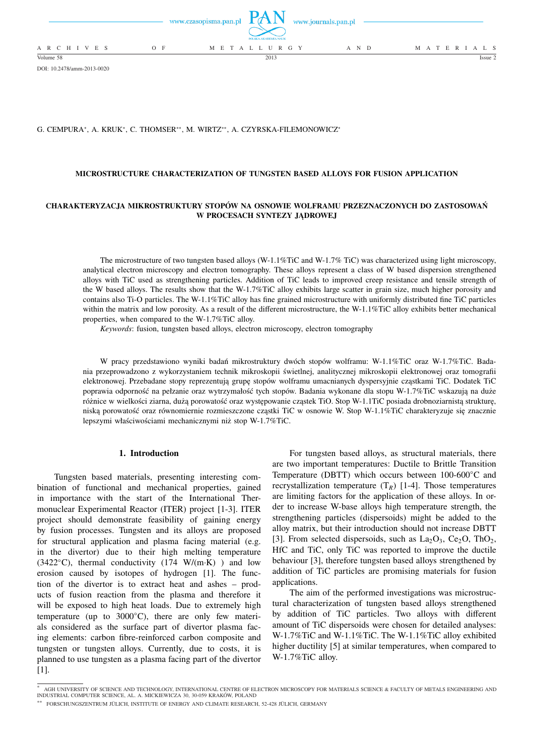

DOI: 10.2478/amm-2013-0020

# G. CEMPURA<sup>∗</sup> , A. KRUK<sup>∗</sup> , C. THOMSER∗∗, M. WIRTZ∗∗, A. CZYRSKA-FILEMONOWICZ<sup>∗</sup>

# **MICROSTRUCTURE CHARACTERIZATION OF TUNGSTEN BASED ALLOYS FOR FUSION APPLICATION**

# **CHARAKTERYZACJA MIKROSTRUKTURY STOPÓW NA OSNOWIE WOLFRAMU PRZEZNACZONYCH DO ZASTOSOWAŃ W PROCESACH SYNTEZY JĄDROWEJ**

The microstructure of two tungsten based alloys (W-1.1%TiC and W-1.7% TiC) was characterized using light microscopy, analytical electron microscopy and electron tomography. These alloys represent a class of W based dispersion strengthened alloys with TiC used as strengthening particles. Addition of TiC leads to improved creep resistance and tensile strength of the W based alloys. The results show that the W-1.7%TiC alloy exhibits large scatter in grain size, much higher porosity and contains also Ti-O particles. The W-1.1%TiC alloy has fine grained microstructure with uniformly distributed fine TiC particles within the matrix and low porosity. As a result of the different microstructure, the W-1.1%TiC alloy exhibits better mechanical properties, when compared to the W-1.7%TiC alloy.

*Keywords*: fusion, tungsten based alloys, electron microscopy, electron tomography

W pracy przedstawiono wyniki badań mikrostruktury dwóch stopów wolframu: W-1.1%TiC oraz W-1.7%TiC. Badania przeprowadzono z wykorzystaniem technik mikroskopii świetlnej, analitycznej mikroskopii elektronowej oraz tomografii elektronowej. Przebadane stopy reprezentują grupę stopów wolframu umacnianych dyspersyjnie cząstkami TiC. Dodatek TiC poprawia odporność na pełzanie oraz wytrzymałość tych stopów. Badania wykonane dla stopu W-1.7%TiC wskazują na duże różnice w wielkości ziarna, dużą porowatość oraz występowanie cząstek TiO. Stop W-1.1TiC posiada drobnoziarnistą strukturę, niską porowatość oraz równomiernie rozmieszczone cząstki TiC w osnowie W. Stop W-1.1%TiC charakteryzuje się znacznie lepszymi właściwościami mechanicznymi niż stop W-1.7%TiC.

#### **1. Introduction**

Tungsten based materials, presenting interesting combination of functional and mechanical properties, gained in importance with the start of the International Thermonuclear Experimental Reactor (ITER) project [1-3]. ITER project should demonstrate feasibility of gaining energy by fusion processes. Tungsten and its alloys are proposed for structural application and plasma facing material (e.g. in the divertor) due to their high melting temperature (3422 $°C$ ), thermal conductivity (174 W/(m·K)) and low erosion caused by isotopes of hydrogen [1]. The function of the divertor is to extract heat and ashes – products of fusion reaction from the plasma and therefore it will be exposed to high heat loads. Due to extremely high temperature (up to  $3000\degree C$ ), there are only few materials considered as the surface part of divertor plasma facing elements: carbon fibre-reinforced carbon composite and tungsten or tungsten alloys. Currently, due to costs, it is planned to use tungsten as a plasma facing part of the divertor [1].

For tungsten based alloys, as structural materials, there are two important temperatures: Ductile to Brittle Transition Temperature (DBTT) which occurs between 100-600◦C and recrystallization temperature  $(T_R)$  [1-4]. Those temperatures are limiting factors for the application of these alloys. In order to increase W-base alloys high temperature strength, the strengthening particles (dispersoids) might be added to the alloy matrix, but their introduction should not increase DBTT [3]. From selected dispersoids, such as  $La_2O_3$ ,  $Ce_2O$ ,  $ThO_2$ , HfC and TiC, only TiC was reported to improve the ductile behaviour [3], therefore tungsten based alloys strengthened by addition of TiC particles are promising materials for fusion applications.

The aim of the performed investigations was microstructural characterization of tungsten based alloys strengthened by addition of TiC particles. Two alloys with different amount of TiC dispersoids were chosen for detailed analyses: W-1.7%TiC and W-1.1%TiC. The W-1.1%TiC alloy exhibited higher ductility [5] at similar temperatures, when compared to W-1.7%TiC alloy.

<sup>∗</sup> AGH UNIVERSITY OF SCIENCE AND TECHNOLOGY, INTERNATIONAL CENTRE OF ELECTRON MICROSCOPY FOR MATERIALS SCIENCE & FACULTY OF METALS ENGINEERING AND INDUSTRIAL COMPUTER SCIENCE, AL. A. MICKIEWICZA 30, 30-059 KRAKÓW, POLAND

<sup>∗∗</sup> FORSCHUNGSZENTRUM JULICH, INSTITUTE OF ENERGY AND CLIMATE RESEARCH, 52-428 J ¨ ULICH, GERMANY ¨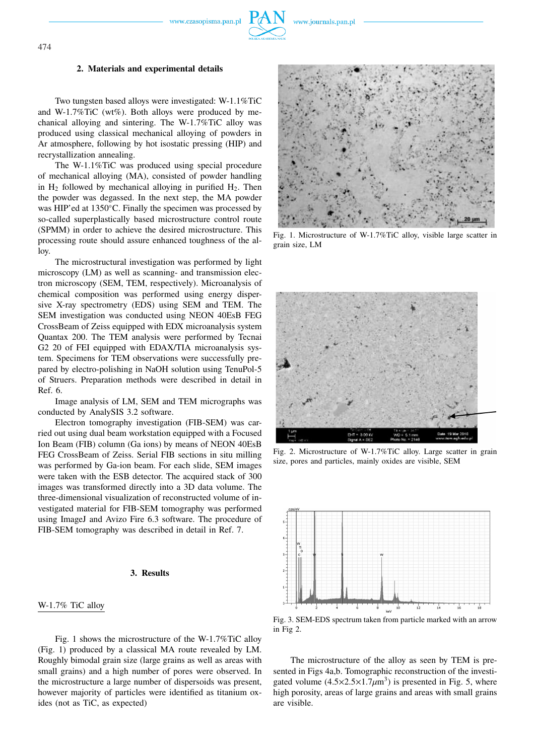www.czasopisma.pan.pl



### **2. Materials and experimental details**

Two tungsten based alloys were investigated: W-1.1%TiC and W-1.7%TiC (wt%). Both alloys were produced by mechanical alloying and sintering. The W-1.7%TiC alloy was produced using classical mechanical alloying of powders in Ar atmosphere, following by hot isostatic pressing (HIP) and recrystallization annealing.

The W-1.1%TiC was produced using special procedure of mechanical alloying (MA), consisted of powder handling in  $H_2$  followed by mechanical alloying in purified  $H_2$ . Then the powder was degassed. In the next step, the MA powder was HIP'ed at 1350◦C. Finally the specimen was processed by so-called superplastically based microstructure control route (SPMM) in order to achieve the desired microstructure. This processing route should assure enhanced toughness of the alloy.

The microstructural investigation was performed by light microscopy (LM) as well as scanning- and transmission electron microscopy (SEM, TEM, respectively). Microanalysis of chemical composition was performed using energy dispersive X-ray spectrometry (EDS) using SEM and TEM. The SEM investigation was conducted using NEON 40EsB FEG CrossBeam of Zeiss equipped with EDX microanalysis system Quantax 200. The TEM analysis were performed by Tecnai G2 20 of FEI equipped with EDAX/TIA microanalysis system. Specimens for TEM observations were successfully prepared by electro-polishing in NaOH solution using TenuPol-5 of Struers. Preparation methods were described in detail in Ref. 6.

Image analysis of LM, SEM and TEM micrographs was conducted by AnalySIS 3.2 software.

Electron tomography investigation (FIB-SEM) was carried out using dual beam workstation equipped with a Focused Ion Beam (FIB) column (Ga ions) by means of NEON 40EsB FEG CrossBeam of Zeiss. Serial FIB sections in situ milling was performed by Ga-ion beam. For each slide, SEM images were taken with the ESB detector. The acquired stack of 300 images was transformed directly into a 3D data volume. The three-dimensional visualization of reconstructed volume of investigated material for FIB-SEM tomography was performed using ImageJ and Avizo Fire 6.3 software. The procedure of FIB-SEM tomography was described in detail in Ref. 7.

# **3. Results**

### W-1.7% TiC alloy

Fig. 1 shows the microstructure of the W-1.7%TiC alloy (Fig. 1) produced by a classical MA route revealed by LM. Roughly bimodal grain size (large grains as well as areas with small grains) and a high number of pores were observed. In the microstructure a large number of dispersoids was present, however majority of particles were identified as titanium oxides (not as TiC, as expected)



Fig. 1. Microstructure of W-1.7%TiC alloy, visible large scatter in grain size, LM



Fig. 2. Microstructure of W-1.7%TiC alloy. Large scatter in grain size, pores and particles, mainly oxides are visible, SEM



Fig. 3. SEM-EDS spectrum taken from particle marked with an arrow in Fig 2.

The microstructure of the alloy as seen by TEM is presented in Figs 4a,b. Tomographic reconstruction of the investigated volume  $(4.5 \times 2.5 \times 1.7 \mu m^3)$  is presented in Fig. 5, where high porosity, areas of large grains and areas with small grains are visible.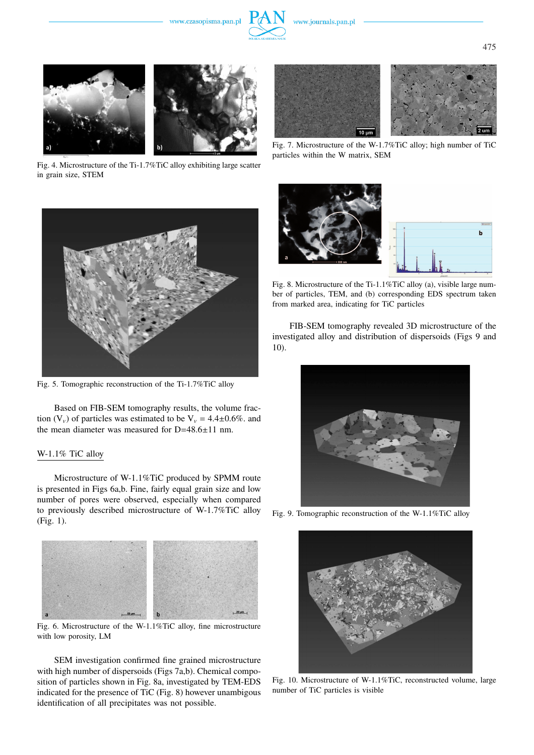www.czasopisma.pan.pl









Fig. 4. Microstructure of the Ti-1.7%TiC alloy exhibiting large scatter in grain size, STEM



Fig. 5. Tomographic reconstruction of the Ti-1.7%TiC alloy

Based on FIB-SEM tomography results, the volume fraction  $(V_v)$  of particles was estimated to be  $V_v = 4.4 \pm 0.6\%$ . and the mean diameter was measured for D=48.6±11 nm.

# W-1.1% TiC alloy

Microstructure of W-1.1%TiC produced by SPMM route is presented in Figs 6a,b. Fine, fairly equal grain size and low number of pores were observed, especially when compared to previously described microstructure of W-1.7%TiC alloy (Fig. 1).



Fig. 6. Microstructure of the W-1.1%TiC alloy, fine microstructure with low porosity, LM

SEM investigation confirmed fine grained microstructure with high number of dispersoids (Figs 7a,b). Chemical composition of particles shown in Fig. 8a, investigated by TEM-EDS indicated for the presence of TiC (Fig. 8) however unambigous identification of all precipitates was not possible.



Fig. 7. Microstructure of the W-1.7%TiC alloy; high number of TiC particles within the W matrix, SEM



Fig. 8. Microstructure of the Ti-1.1%TiC alloy (a), visible large number of particles, TEM, and (b) corresponding EDS spectrum taken from marked area, indicating for TiC particles

FIB-SEM tomography revealed 3D microstructure of the investigated alloy and distribution of dispersoids (Figs 9 and 10).



Fig. 9. Tomographic reconstruction of the W-1.1%TiC alloy



Fig. 10. Microstructure of W-1.1%TiC, reconstructed volume, large number of TiC particles is visible